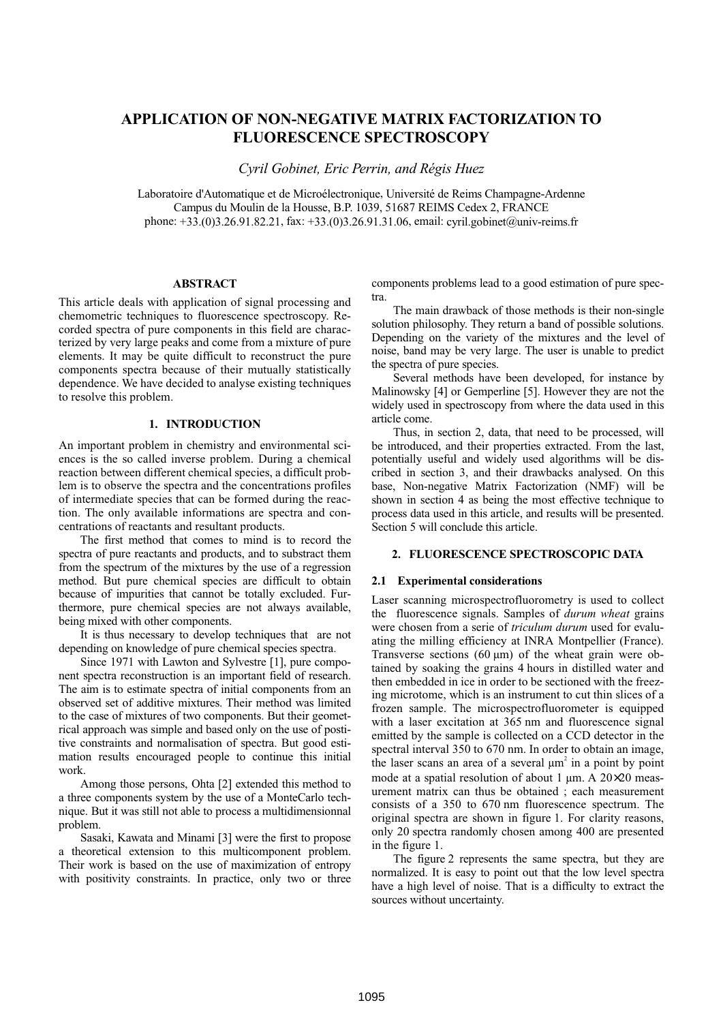# **APPLICATION OF NON-NEGATIVE MATRIX FACTORIZATION TO FLUORESCENCE SPECTROSCOPY**

*Cyril Gobinet, Eric Perrin, and Régis Huez*

Laboratoire d'Automatique et de Microélectronique, Université de Reims Champagne-Ardenne Campus du Moulin de la Housse, B.P. 1039, 51687 REIMS Cedex 2, FRANCE phone: +33.(0)3.26.91.82.21, fax: +33.(0)3.26.91.31.06, email: cyril.gobinet@univ-reims.fr

### **ABSTRACT**

This article deals with application of signal processing and chemometric techniques to fluorescence spectroscopy. Recorded spectra of pure components in this field are characterized by very large peaks and come from a mixture of pure elements. It may be quite difficult to reconstruct the pure components spectra because of their mutually statistically dependence. We have decided to analyse existing techniques to resolve this problem.

## **1. INTRODUCTION**

An important problem in chemistry and environmental sciences is the so called inverse problem. During a chemical reaction between different chemical species, a difficult problem is to observe the spectra and the concentrations profiles of intermediate species that can be formed during the reaction. The only available informations are spectra and concentrations of reactants and resultant products.

The first method that comes to mind is to record the spectra of pure reactants and products, and to substract them from the spectrum of the mixtures by the use of a regression method. But pure chemical species are difficult to obtain because of impurities that cannot be totally excluded. Furthermore, pure chemical species are not always available, being mixed with other components.

It is thus necessary to develop techniques that are not depending on knowledge of pure chemical species spectra.

Since 1971 with Lawton and Sylvestre [1], pure component spectra reconstruction is an important field of research. The aim is to estimate spectra of initial components from an observed set of additive mixtures. Their method was limited to the case of mixtures of two components. But their geometrical approach was simple and based only on the use of postitive constraints and normalisation of spectra. But good estimation results encouraged people to continue this initial work.

Among those persons, Ohta [2] extended this method to a three components system by the use of a MonteCarlo technique. But it was still not able to process a multidimensionnal problem.

Sasaki, Kawata and Minami [3] were the first to propose a theoretical extension to this multicomponent problem. Their work is based on the use of maximization of entropy with positivity constraints. In practice, only two or three components problems lead to a good estimation of pure spectra.

The main drawback of those methods is their non-single solution philosophy. They return a band of possible solutions. Depending on the variety of the mixtures and the level of noise, band may be very large. The user is unable to predict the spectra of pure species.

Several methods have been developed, for instance by Malinowsky [4] or Gemperline [5]. However they are not the widely used in spectroscopy from where the data used in this article come.

Thus, in section 2, data, that need to be processed, will be introduced, and their properties extracted. From the last, potentially useful and widely used algorithms will be discribed in section 3, and their drawbacks analysed. On this base, Non-negative Matrix Factorization (NMF) will be shown in section 4 as being the most effective technique to process data used in this article, and results will be presented. Section 5 will conclude this article.

# **2. FLUORESCENCE SPECTROSCOPIC DATA**

### **2.1 Experimental considerations**

Laser scanning microspectrofluorometry is used to collect the fluorescence signals. Samples of *durum wheat* grains were chosen from a serie of *triculum durum* used for evaluating the milling efficiency at INRA Montpellier (France). Transverse sections  $(60 \mu m)$  of the wheat grain were obtained by soaking the grains 4 hours in distilled water and then embedded in ice in order to be sectioned with the freezing microtome, which is an instrument to cut thin slices of a frozen sample. The microspectrofluorometer is equipped with a laser excitation at 365 nm and fluorescence signal emitted by the sample is collected on a CCD detector in the spectral interval 350 to 670 nm. In order to obtain an image, the laser scans an area of a several  $\mu$ m<sup>2</sup> in a point by point mode at a spatial resolution of about 1  $\mu$ m. A 20 $\times$ 20 measurement matrix can thus be obtained ; each measurement consists of a 350 to 670 nm fluorescence spectrum. The original spectra are shown in figure 1. For clarity reasons, only 20 spectra randomly chosen among 400 are presented in the figure 1.

The figure 2 represents the same spectra, but they are normalized. It is easy to point out that the low level spectra have a high level of noise. That is a difficulty to extract the sources without uncertainty.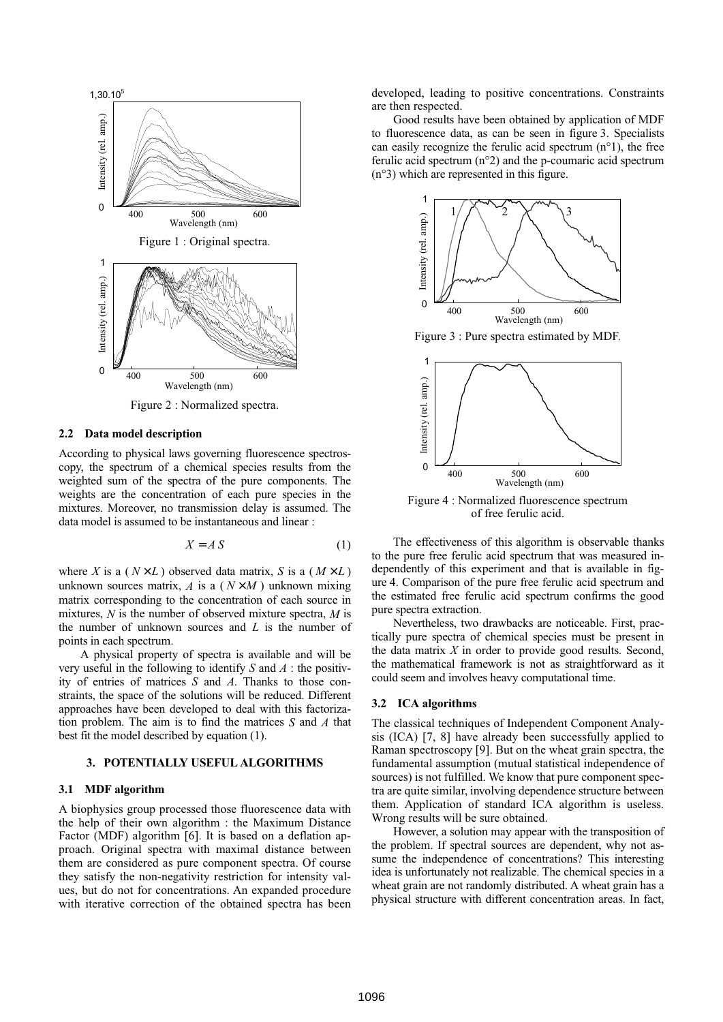

Figure 2 : Normalized spectra.

#### **2.2 Data model description**

According to physical laws governing fluorescence spectroscopy, the spectrum of a chemical species results from the weighted sum of the spectra of the pure components. The weights are the concentration of each pure species in the mixtures. Moreover, no transmission delay is assumed. The data model is assumed to be instantaneous and linear :

$$
X = A S \tag{1}
$$

where *X* is a ( $N \times L$ ) observed data matrix, *S* is a ( $M \times L$ ) unknown sources matrix,  $A$  is a  $(N \times M)$  unknown mixing matrix corresponding to the concentration of each source in mixtures, *N* is the number of observed mixture spectra, *M* is the number of unknown sources and *L* is the number of points in each spectrum.

A physical property of spectra is available and will be very useful in the following to identify *S* and *A* : the positivity of entries of matrices *S* and *A*. Thanks to those constraints, the space of the solutions will be reduced. Different approaches have been developed to deal with this factorization problem. The aim is to find the matrices *S* and *A* that best fit the model described by equation (1).

# **3. POTENTIALLY USEFUL ALGORITHMS**

#### **3.1 MDF algorithm**

A biophysics group processed those fluorescence data with the help of their own algorithm : the Maximum Distance Factor (MDF) algorithm [6]. It is based on a deflation approach. Original spectra with maximal distance between them are considered as pure component spectra. Of course they satisfy the non-negativity restriction for intensity values, but do not for concentrations. An expanded procedure with iterative correction of the obtained spectra has been developed, leading to positive concentrations. Constraints are then respected.

Good results have been obtained by application of MDF to fluorescence data, as can be seen in figure 3. Specialists can easily recognize the ferulic acid spectrum (n°1), the free ferulic acid spectrum (n°2) and the p-coumaric acid spectrum (n°3) which are represented in this figure.



Figure 3 : Pure spectra estimated by MDF.



Figure 4 : Normalized fluorescence spectrum of free ferulic acid.

The effectiveness of this algorithm is observable thanks to the pure free ferulic acid spectrum that was measured independently of this experiment and that is available in figure 4. Comparison of the pure free ferulic acid spectrum and the estimated free ferulic acid spectrum confirms the good pure spectra extraction.

Nevertheless, two drawbacks are noticeable. First, practically pure spectra of chemical species must be present in the data matrix *X* in order to provide good results. Second, the mathematical framework is not as straightforward as it could seem and involves heavy computational time.

#### **3.2 ICA algorithms**

The classical techniques of Independent Component Analysis (ICA) [7, 8] have already been successfully applied to Raman spectroscopy [9]. But on the wheat grain spectra, the fundamental assumption (mutual statistical independence of sources) is not fulfilled. We know that pure component spectra are quite similar, involving dependence structure between them. Application of standard ICA algorithm is useless. Wrong results will be sure obtained.

However, a solution may appear with the transposition of the problem. If spectral sources are dependent, why not assume the independence of concentrations? This interesting idea is unfortunately not realizable. The chemical species in a wheat grain are not randomly distributed. A wheat grain has a physical structure with different concentration areas. In fact,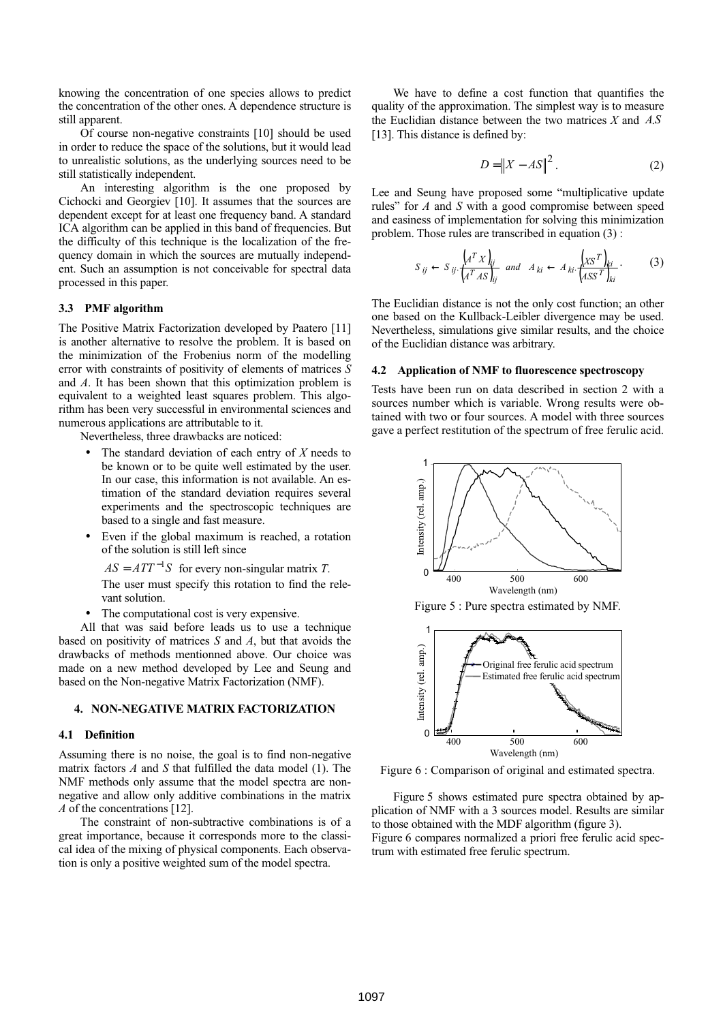knowing the concentration of one species allows to predict the concentration of the other ones. A dependence structure is still apparent.

Of course non-negative constraints [10] should be used in order to reduce the space of the solutions, but it would lead to unrealistic solutions, as the underlying sources need to be still statistically independent.

An interesting algorithm is the one proposed by Cichocki and Georgiev [10]. It assumes that the sources are dependent except for at least one frequency band. A standard ICA algorithm can be applied in this band of frequencies. But the difficulty of this technique is the localization of the frequency domain in which the sources are mutually independent. Such an assumption is not conceivable for spectral data processed in this paper.

#### **3.3 PMF algorithm**

The Positive Matrix Factorization developed by Paatero [11] is another alternative to resolve the problem. It is based on the minimization of the Frobenius norm of the modelling error with constraints of positivity of elements of matrices *S* and *A*. It has been shown that this optimization problem is equivalent to a weighted least squares problem. This algorithm has been very successful in environmental sciences and numerous applications are attributable to it.

Nevertheless, three drawbacks are noticed:

- The standard deviation of each entry of *X* needs to be known or to be quite well estimated by the user. In our case, this information is not available. An estimation of the standard deviation requires several experiments and the spectroscopic techniques are based to a single and fast measure.
- Even if the global maximum is reached, a rotation of the solution is still left since

 $AS = ATT^{-1}S$  for every non-singular matrix *T*.

The user must specify this rotation to find the relevant solution.

The computational cost is very expensive.

All that was said before leads us to use a technique based on positivity of matrices *S* and *A*, but that avoids the drawbacks of methods mentionned above. Our choice was made on a new method developed by Lee and Seung and based on the Non-negative Matrix Factorization (NMF).

## **4. NON-NEGATIVE MATRIX FACTORIZATION**

#### **4.1 Definition**

Assuming there is no noise, the goal is to find non-negative matrix factors *A* and *S* that fulfilled the data model (1). The NMF methods only assume that the model spectra are nonnegative and allow only additive combinations in the matrix *A* of the concentrations [12].

The constraint of non-subtractive combinations is of a great importance, because it corresponds more to the classical idea of the mixing of physical components. Each observation is only a positive weighted sum of the model spectra.

We have to define a cost function that quantifies the quality of the approximation. The simplest way is to measure the Euclidian distance between the two matrices *X* and *A*.*S* [13]. This distance is defined by:

$$
D = \|X - AS\|^2. \tag{2}
$$

Lee and Seung have proposed some "multiplicative update rules" for *A* and *S* with a good compromise between speed and easiness of implementation for solving this minimization problem. Those rules are transcribed in equation (3) :

$$
S_{ij} \leftarrow S_{ij} \cdot \frac{\left(A^T X\right)_{ij}}{\left(A^T A S\right)_{ij}} \quad \text{and} \quad A_{ki} \leftarrow A_{ki} \cdot \frac{\left(X S^T\right)_{ki}}{\left(AS S^T\right)_{ki}}.\tag{3}
$$

The Euclidian distance is not the only cost function; an other one based on the Kullback-Leibler divergence may be used. Nevertheless, simulations give similar results, and the choice of the Euclidian distance was arbitrary.

#### **4.2 Application of NMF to fluorescence spectroscopy**

Tests have been run on data described in section 2 with a sources number which is variable. Wrong results were obtained with two or four sources. A model with three sources gave a perfect restitution of the spectrum of free ferulic acid.



Figure 5 : Pure spectra estimated by NMF.



Figure 6 : Comparison of original and estimated spectra.

Figure 5 shows estimated pure spectra obtained by application of NMF with a 3 sources model. Results are similar to those obtained with the MDF algorithm (figure 3). Figure 6 compares normalized a priori free ferulic acid spectrum with estimated free ferulic spectrum.